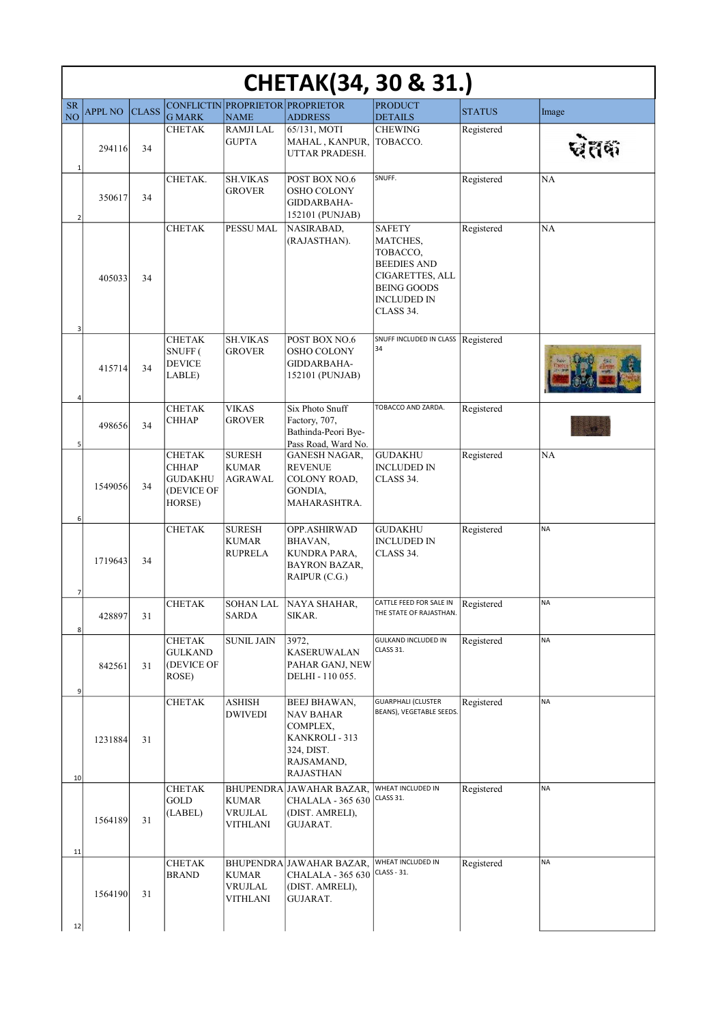| <b>CHETAK(34, 30 &amp; 31.)</b><br><b>CONFLICTIN</b><br><b>PROPRIETOR PROPRIETOR</b><br><b>PRODUCT</b><br><b>SR</b> |                |              |                                                                         |                                                 |                                                                                                         |                                                                                                                                                |               |           |
|---------------------------------------------------------------------------------------------------------------------|----------------|--------------|-------------------------------------------------------------------------|-------------------------------------------------|---------------------------------------------------------------------------------------------------------|------------------------------------------------------------------------------------------------------------------------------------------------|---------------|-----------|
| N <sub>O</sub>                                                                                                      | <b>APPL NO</b> | <b>CLASS</b> | <b>G MARK</b>                                                           | <b>NAME</b>                                     | <b>ADDRESS</b>                                                                                          | <b>DETAILS</b>                                                                                                                                 | <b>STATUS</b> | Image     |
|                                                                                                                     | 294116         | 34           | <b>CHETAK</b>                                                           | <b>RAMJILAL</b><br><b>GUPTA</b>                 | 65/131, MOTI<br>MAHAL, KANPUR,<br>UTTAR PRADESH.                                                        | <b>CHEWING</b><br>TOBACCO.                                                                                                                     | Registered    |           |
| $\mathbf{1}$<br>$\overline{2}$                                                                                      | 350617         | 34           | CHETAK.                                                                 | <b>SH.VIKAS</b><br><b>GROVER</b>                | POST BOX NO.6<br>OSHO COLONY<br>GIDDARBAHA-<br>152101 (PUNJAB)                                          | SNUFF.                                                                                                                                         | Registered    | NA        |
| 3                                                                                                                   | 405033         | 34           | <b>CHETAK</b>                                                           | PESSU MAL                                       | NASIRABAD,<br>(RAJASTHAN).                                                                              | <b>SAFETY</b><br>MATCHES,<br>TOBACCO,<br><b>BEEDIES AND</b><br><b>CIGARETTES, ALL</b><br><b>BEING GOODS</b><br><b>INCLUDED IN</b><br>CLASS 34. | Registered    | <b>NA</b> |
|                                                                                                                     | 415714         | 34           | <b>CHETAK</b><br>SNUFF (<br><b>DEVICE</b><br>LABLE)                     | <b>SH.VIKAS</b><br><b>GROVER</b>                | POST BOX NO.6<br><b>OSHO COLONY</b><br>GIDDARBAHA-<br>152101 (PUNJAB)                                   | SNUFF INCLUDED IN CLASS<br>34                                                                                                                  | Registered    |           |
| 4<br>5                                                                                                              | 498656         | 34           | <b>CHETAK</b><br><b>CHHAP</b>                                           | <b>VIKAS</b><br><b>GROVER</b>                   | Six Photo Snuff<br>Factory, 707,<br>Bathinda-Peori Bye-<br>Pass Road, Ward No.                          | TOBACCO AND ZARDA.                                                                                                                             | Registered    |           |
|                                                                                                                     | 1549056        | 34           | <b>CHETAK</b><br><b>CHHAP</b><br><b>GUDAKHU</b><br>(DEVICE OF<br>HORSE) | <b>SURESH</b><br><b>KUMAR</b><br><b>AGRAWAL</b> | GANESH NAGAR,<br><b>REVENUE</b><br>COLONY ROAD,<br>GONDIA,<br>MAHARASHTRA.                              | <b>GUDAKHU</b><br><b>INCLUDED IN</b><br>CLASS 34.                                                                                              | Registered    | <b>NA</b> |
| 6                                                                                                                   | 1719643        | 34           | <b>CHETAK</b>                                                           | <b>SURESH</b><br><b>KUMAR</b><br><b>RUPRELA</b> | OPP.ASHIRWAD<br>BHAVAN,<br>KUNDRA PARA,<br><b>BAYRON BAZAR,</b><br>$RAIPUR$ (C.G.)                      | <b>GUDAKHU</b><br><b>INCLUDED IN</b><br>CLASS 34.                                                                                              | Registered    | <b>NA</b> |
| 7                                                                                                                   | 428897         | 31           | <b>CHETAK</b>                                                           | <b>SOHAN LAL</b><br><b>SARDA</b>                | NAYA SHAHAR,<br>SIKAR.                                                                                  | CATTLE FEED FOR SALE IN<br>THE STATE OF RAJASTHAN.                                                                                             | Registered    | <b>NA</b> |
| 8<br>9                                                                                                              | 842561         | 31           | <b>CHETAK</b><br><b>GULKAND</b><br>(DEVICE OF<br>ROSE)                  | <b>SUNIL JAIN</b>                               | 3972,<br>KASERUWALAN<br>PAHAR GANJ, NEW<br>DELHI - 110 055.                                             | <b>GULKAND INCLUDED IN</b><br>CLASS 31.                                                                                                        | Registered    | <b>NA</b> |
| 10                                                                                                                  | 1231884        | 31           | <b>CHETAK</b>                                                           | ASHISH<br><b>DWIVEDI</b>                        | BEEJ BHAWAN,<br>NAV BAHAR<br>COMPLEX,<br>KANKROLI - 313<br>324, DIST.<br>RAJSAMAND,<br><b>RAJASTHAN</b> | <b>GUARPHALI (CLUSTER</b><br>BEANS), VEGETABLE SEEDS.                                                                                          | Registered    | <b>NA</b> |
|                                                                                                                     | 1564189        | 31           | <b>CHETAK</b><br>GOLD<br>(LABEL)                                        | <b>KUMAR</b><br>VRUJLAL<br>VITHLANI             | BHUPENDRA JAWAHAR BAZAR,<br><b>CHALALA - 365 630</b><br>(DIST. AMRELI),<br>GUJARAT.                     | WHEAT INCLUDED IN<br>CLASS 31.                                                                                                                 | Registered    | <b>NA</b> |
| 11                                                                                                                  | 1564190        | 31           | <b>CHETAK</b><br><b>BRAND</b>                                           | <b>KUMAR</b><br>VRUJLAL<br>VITHLANI             | BHUPENDRA JAWAHAR BAZAR,<br><b>CHALALA - 365 630</b><br>(DIST. AMRELI),<br>GUJARAT.                     | WHEAT INCLUDED IN<br>CLASS - 31.                                                                                                               | Registered    | <b>NA</b> |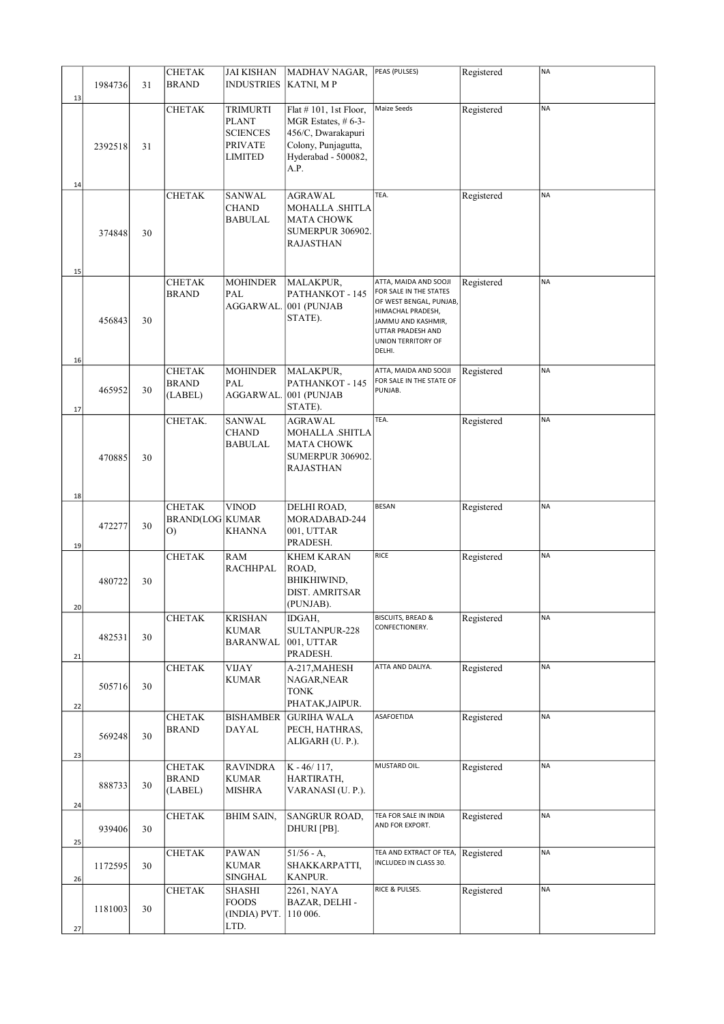|          |               |    | <b>CHETAK</b>                             | <b>JAI KISHAN</b>                                                 | MADHAV NAGAR,                                                                                                             | PEAS (PULSES)                                                                                                                                                              | Registered | <b>NA</b> |
|----------|---------------|----|-------------------------------------------|-------------------------------------------------------------------|---------------------------------------------------------------------------------------------------------------------------|----------------------------------------------------------------------------------------------------------------------------------------------------------------------------|------------|-----------|
| 13       | 1984736       | 31 | <b>BRAND</b>                              | <b>INDUSTRIES</b>                                                 | KATNI, MP                                                                                                                 |                                                                                                                                                                            |            |           |
| 14       | 2392518       | 31 | <b>CHETAK</b>                             | <b>TRIMURTI</b><br>PLANT<br><b>SCIENCES</b><br>PRIVATE<br>LIMITED | Flat #101, 1st Floor,<br>MGR Estates, $#6-3-$<br>456/C, Dwarakapuri<br>Colony, Punjagutta,<br>Hyderabad - 500082,<br>A.P. | Maize Seeds                                                                                                                                                                | Registered | <b>NA</b> |
| 15       | 374848        | 30 | <b>CHETAK</b>                             | SANWAL<br>CHAND<br>BABULAL                                        | AGRAWAL<br>MOHALLA .SHITLA<br>MATA CHOWK<br>SUMERPUR 306902.<br><b>RAJASTHAN</b>                                          | TEA.                                                                                                                                                                       | Registered | <b>NA</b> |
| 16       | 456843        | 30 | <b>CHETAK</b><br><b>BRAND</b>             | <b>MOHINDER</b><br>PAL<br>AGGARWAL.                               | MALAKPUR,<br>PATHANKOT - 145<br>001 (PUNJAB<br>STATE).                                                                    | ATTA, MAIDA AND SOOJI<br>FOR SALE IN THE STATES<br>OF WEST BENGAL, PUNJAB,<br>HIMACHAL PRADESH,<br>JAMMU AND KASHMIR,<br>UTTAR PRADESH AND<br>UNION TERRITORY OF<br>DELHI. | Registered | <b>NA</b> |
| 17       | 465952        | 30 | <b>CHETAK</b><br><b>BRAND</b><br>(LABEL)  | <b>MOHINDER</b><br>PAL<br>AGGARWAL.                               | MALAKPUR,<br>PATHANKOT - 145<br>001 (PUNJAB<br>STATE).                                                                    | ATTA, MAIDA AND SOOJI<br>FOR SALE IN THE STATE OF<br>PUNJAB.                                                                                                               | Registered | <b>NA</b> |
|          | 470885        | 30 | CHETAK.                                   | <b>SANWAL</b><br>CHAND<br>BABULAL                                 | AGRAWAL<br>MOHALLA .SHITLA<br>MATA CHOWK<br>SUMERPUR 306902.<br><b>RAJASTHAN</b>                                          | TEA.                                                                                                                                                                       | Registered | <b>NA</b> |
| 18<br>19 | 472277        | 30 | <b>CHETAK</b><br>BRAND(LOG KUMAR<br>$O$ ) | <b>VINOD</b><br>KHANNA                                            | DELHI ROAD,<br>MORADABAD-244<br>001, UTTAR<br>PRADESH.                                                                    | <b>BESAN</b>                                                                                                                                                               | Registered | <b>NA</b> |
| 20       | 480722        | 30 | <b>CHETAK</b>                             | RAM<br><b>RACHHPAL</b>                                            | <b>KHEM KARAN</b><br>ROAD,<br>BHIKHIWIND,<br>DIST. AMRITSAR<br>(PUNJAB).                                                  | RICE                                                                                                                                                                       | Registered | <b>NA</b> |
| 21       | 482531        | 30 | <b>CHETAK</b>                             | <b>KRISHAN</b><br>KUMAR<br>BARANWAL                               | IDGAH,<br>SULTANPUR-228<br>001, UTTAR<br>PRADESH.                                                                         | <b>BISCUITS, BREAD &amp;</b><br>CONFECTIONERY.                                                                                                                             | Registered | <b>NA</b> |
| 22       | 505716        | 30 | <b>CHETAK</b>                             | <b>VIJAY</b><br><b>KUMAR</b>                                      | A-217,MAHESH<br>NAGAR, NEAR<br><b>TONK</b><br>PHATAK, JAIPUR.                                                             | ATTA AND DALIYA.                                                                                                                                                           | Registered | <b>NA</b> |
| 23       | 569248        | 30 | <b>CHETAK</b><br><b>BRAND</b>             | <b>BISHAMBER</b><br>DAYAL                                         | <b>GURIHA WALA</b><br>PECH, HATHRAS,<br>ALIGARH (U.P.).                                                                   | ASAFOETIDA                                                                                                                                                                 | Registered | <b>NA</b> |
| 24       | 888733        | 30 | <b>CHETAK</b><br><b>BRAND</b><br>(LABEL)  | <b>RAVINDRA</b><br><b>KUMAR</b><br><b>MISHRA</b>                  | $K - 46/117$ ,<br>HARTIRATH,<br>VARANASI (U. P.).                                                                         | MUSTARD OIL.                                                                                                                                                               | Registered | <b>NA</b> |
| 25       | 939406        | 30 | CHETAK                                    | BHIM SAIN,                                                        | SANGRUR ROAD,<br>DHURI [PB].                                                                                              | TEA FOR SALE IN INDIA<br>AND FOR EXPORT.                                                                                                                                   | Registered | <b>NA</b> |
| 26       | 1172595       | 30 | <b>CHETAK</b>                             | PAWAN<br><b>KUMAR</b><br>SINGHAL                                  | $51/56 - A$ ,<br>SHAKKARPATTI,<br>KANPUR.                                                                                 | TEA AND EXTRACT OF TEA,<br>INCLUDED IN CLASS 30.                                                                                                                           | Registered | NA        |
|          | 1181003<br>27 | 30 | <b>CHETAK</b>                             | SHASHI<br><b>FOODS</b><br>(INDIA) PVT.<br>LTD.                    | 2261, NAYA<br>BAZAR, DELHI -<br>110 006.                                                                                  | RICE & PULSES.                                                                                                                                                             | Registered | <b>NA</b> |